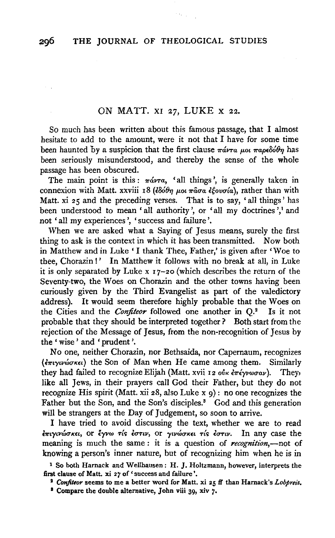## ON MATT. XI 27, LUKE X 22.

So much has been written about this famous passage, that I almost hesitate to add to the amount, were it not that I have for some time been haunted by a suspicion that the first clause  $\pi \omega \tau a \mu o \tau \pi a \rho \epsilon \delta \phi \theta \eta$  has been seriously misunderstood, and thereby the sense of the whole passage has been obscured.

The main point is this:  $\pi \omega \tau a$ , 'all things', is generally taken in connexion with Matt. xxviii 18 (εδόθη μοι πασα εξουσία), rather than with Matt. xi 25 and the preceding verses. That is to say, 'all things' has been understood to mean 'all authority', or 'all my doctrines',<sup>1</sup> and not 'all my experiences', 'success and failure'.

When we are asked what a Saying of Jesus means, surely the first thing to ask is the context in which it has been transmitted. Now both in Matthew and in Luke' I thank Thee, Father,' is given after 'Woe to thee, Chorazin!' In Matthew it follows with no break at all, in Luke it is only separated by Luke x I 7-20 (which describes the return of the Seventy-two, the Woes on Chorazin and the other towns having been curiously given by the Third Evangelist as part of the valedictory address}. It would seem therefore highly probable that the Woes on the Cities and the *Confiteor* followed one another in Q.2 Is it not probable that they should be interpreted together? Both start from the rejection of the Message of Jesus, from the non-recognition of Jesus by the' wise' and 'prudent'.

No one, neither Chorazin, nor Bethsaida, nor Capernaum, recognizes  $(\epsilon \pi \nu \nu \omega \sigma \kappa \epsilon \nu)$  the Son of Man when He came among them. Similarly they had failed to recognize Elijah (Matt. xvii 12 οὐκ ἐπέγνωσαν). They, like all Jews, in their prayers call God their Father, but they do not recognize His spirit (Matt. xii 28, also Luke x 9): no one recognizes the Father but the Son, and the Son's disciples.<sup>3</sup> God and this generation will be strangers at the Day of Judgement, so soon to arrive.

I have tried to avoid discussing the text, whether we are to read  $\epsilon$ πιγινώσκει, or έγνω τίς έστιν, or γινώσκει τίς έστιν. In any case the meaning is much the same : it is a question of *recognition,-not* of knowing a person's inner nature, but of recognizing him when he is in

1 So both Harnack and Wellhausen: H. *].* Holtzmann, however, interprets the first clause of Matt. xi 27 of 'success and failure'.

I *Confiteor* seems to me a better word for Matt. xi 25 ff than Harnack's *Lobpreis.* 

<sup>3</sup> Compare the double alternative, John viii 39, xiv 7.